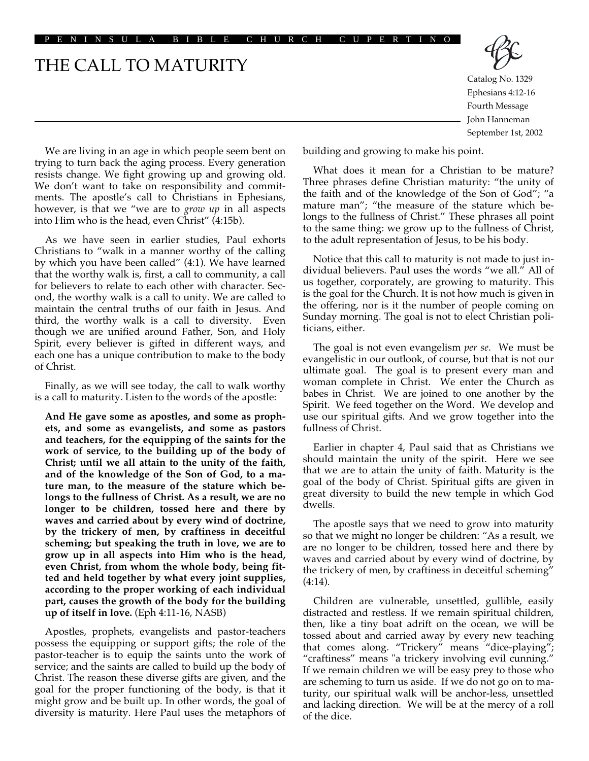#### PENINSULA BIBLE CHURCH CUPERTINO

# THE CALL TO MATURITY



Catalog No. 1329 Ephesians 4:12-16 Fourth Message John Hanneman September 1st, 2002

We are living in an age in which people seem bent on trying to turn back the aging process. Every generation resists change. We fight growing up and growing old. We don't want to take on responsibility and commitments. The apostle's call to Christians in Ephesians, however, is that we "we are to *grow up* in all aspects into Him who is the head, even Christ" (4:15b).

As we have seen in earlier studies, Paul exhorts Christians to "walk in a manner worthy of the calling by which you have been called" (4:1). We have learned that the worthy walk is, first, a call to community, a call for believers to relate to each other with character. Second, the worthy walk is a call to unity. We are called to maintain the central truths of our faith in Jesus. And third, the worthy walk is a call to diversity. Even though we are unified around Father, Son, and Holy Spirit, every believer is gifted in different ways, and each one has a unique contribution to make to the body of Christ.

Finally, as we will see today, the call to walk worthy is a call to maturity. Listen to the words of the apostle:

**And He gave some as apostles, and some as prophets, and some as evangelists, and some as pastors and teachers, for the equipping of the saints for the work of service, to the building up of the body of Christ; until we all attain to the unity of the faith, and of the knowledge of the Son of God, to a mature man, to the measure of the stature which belongs to the fullness of Christ. As a result, we are no longer to be children, tossed here and there by waves and carried about by every wind of doctrine, by the trickery of men, by craftiness in deceitful scheming; but speaking the truth in love, we are to grow up in all aspects into Him who is the head, even Christ, from whom the whole body, being fitted and held together by what every joint supplies, according to the proper working of each individual part, causes the growth of the body for the building up of itself in love.** (Eph 4:11-16, NASB)

Apostles, prophets, evangelists and pastor-teachers possess the equipping or support gifts; the role of the pastor-teacher is to equip the saints unto the work of service; and the saints are called to build up the body of Christ. The reason these diverse gifts are given, and the goal for the proper functioning of the body, is that it might grow and be built up. In other words, the goal of diversity is maturity. Here Paul uses the metaphors of building and growing to make his point.

What does it mean for a Christian to be mature? Three phrases define Christian maturity: "the unity of the faith and of the knowledge of the Son of God"; "a mature man"; "the measure of the stature which belongs to the fullness of Christ." These phrases all point to the same thing: we grow up to the fullness of Christ, to the adult representation of Jesus, to be his body.

Notice that this call to maturity is not made to just individual believers. Paul uses the words "we all." All of us together, corporately, are growing to maturity. This is the goal for the Church. It is not how much is given in the offering, nor is it the number of people coming on Sunday morning. The goal is not to elect Christian politicians, either.

The goal is not even evangelism *per se*. We must be evangelistic in our outlook, of course, but that is not our ultimate goal. The goal is to present every man and woman complete in Christ. We enter the Church as babes in Christ. We are joined to one another by the Spirit. We feed together on the Word. We develop and use our spiritual gifts. And we grow together into the fullness of Christ.

Earlier in chapter 4, Paul said that as Christians we should maintain the unity of the spirit. Here we see that we are to attain the unity of faith. Maturity is the goal of the body of Christ. Spiritual gifts are given in great diversity to build the new temple in which God dwells.

The apostle says that we need to grow into maturity so that we might no longer be children: "As a result, we are no longer to be children, tossed here and there by waves and carried about by every wind of doctrine, by the trickery of men, by craftiness in deceitful scheming" (4:14).

Children are vulnerable, unsettled, gullible, easily distracted and restless. If we remain spiritual children, then, like a tiny boat adrift on the ocean, we will be tossed about and carried away by every new teaching that comes along. "Trickery" means "dice-playing"; "craftiness" means "a trickery involving evil cunning." If we remain children we will be easy prey to those who are scheming to turn us aside. If we do not go on to maturity, our spiritual walk will be anchor-less, unsettled and lacking direction. We will be at the mercy of a roll of the dice.